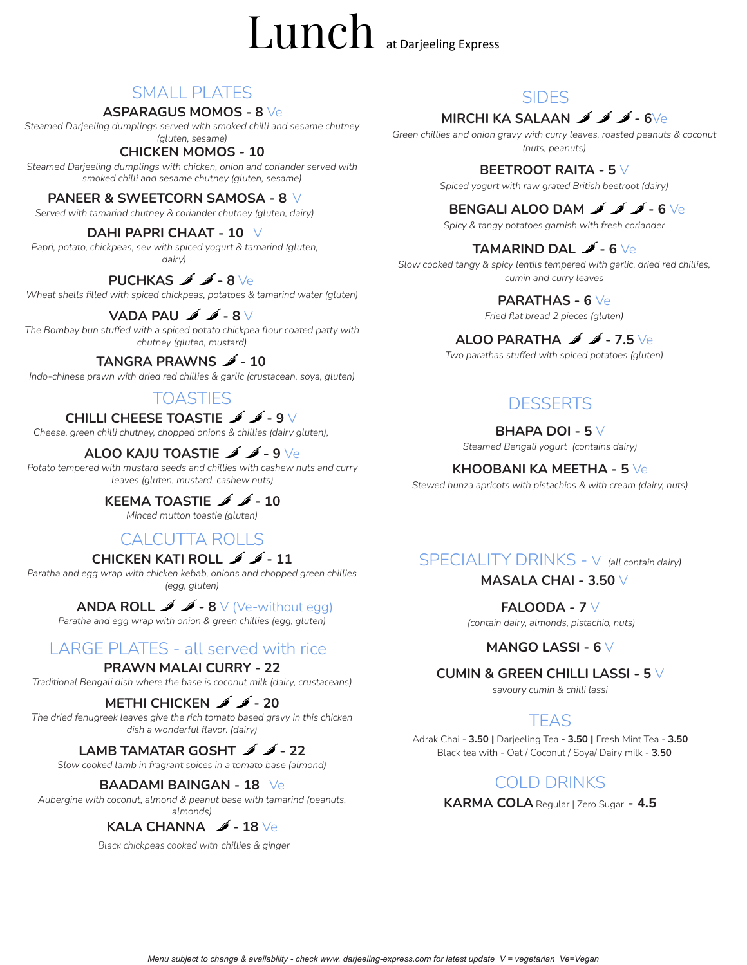# Lunch at Darjeeling Express

# SMALL PLATES

#### **ASPARAGUS MOMOS - 8** Ve

*Steamed Darjeeling dumplings served with smoked chilli and sesame chutney (gluten, sesame)*

## **CHICKEN MOMOS - 10**

*Steamed Darjeeling dumplings with chicken, onion and coriander served with smoked chilli and sesame chutney (gluten, sesame)*

#### **PANEER & SWEETCORN SAMOSA - 8** V

*Served with tamarind chutney & coriander chutney (gluten, dairy)*

#### **DAHI PAPRI CHAAT - 10** V

*Papri, potato, chickpeas, sev with spiced yogurt & tamarind (gluten, dairy)*

# **PUCHKAS - 8** Ve

*Wheat shells filled with spiced chickpeas, potatoes & tamarind water (gluten)*

# **VADA PAU - 8** V

*The Bombay bun stuffed with a spiced potato chickpea flour coated patty with chutney (gluten, mustard)*

# **TANGRA PRAWNS - 10**

*Indo-chinese prawn with dried red chillies & garlic (crustacean, soya, gluten)*

## **TOASTIES**

#### **CHILLI CHEESE TOASTIE**  $\cancel{\bullet}$   $\cancel{\bullet}$  - 9 V

*Cheese, green chilli chutney, chopped onions & chillies (dairy gluten),*

## **ALOO KAJU TOASTIE**  $\cancel{\rightarrow}$   $\cancel{\rightarrow}$  - 9 Ve

*Potato tempered with mustard seeds and chillies with cashew nuts and curry leaves (gluten, mustard, cashew nuts)*

## **KEEMA TOASTIE 4 4** - 10

*Minced mutton toastie (gluten)*

# CALCUTTA ROLLS

#### **CHICKEN KATI ROLL - 11**

*Paratha and egg wrap with chicken kebab, onions and chopped green chillies (egg, gluten)*

# **ANDA ROLL**  $\mathcal{I}$   $\mathcal{I}$  - **8** V (Ve-without egg)

*Paratha and egg wrap with onion & green chillies (egg, gluten)*

# LARGE PLATES - all served with rice

#### **PRAWN MALAI CURRY - 22**

*Traditional Bengali dish where the base is coconut milk (dairy, crustaceans)*

# **METHI CHICKEN**  $\cancel{\bullet}$   $\cancel{\bullet}$  - 20

*The dried fenugreek leaves give the rich tomato based gravy in this chicken dish a wonderful flavor. (dairy)*

# **LAMB TAMATAR GOSHT - 22**

*Slow cooked lamb in fragrant spices in a tomato base (almond)*

#### **BAADAMI BAINGAN - 18** Ve

*Aubergine with coconut, almond & peanut base with tamarind (peanuts, almonds)*

# **KALA CHANNA - 18** Ve

*Black chickpeas cooked with chillies & ginger*

# SIDES

# **MIRCHI KA SALAAN - 6**Ve

*Green chillies and onion gravy with curry leaves, roasted peanuts & coconut (nuts, peanuts)*

#### **BEETROOT RAITA - 5** V

*Spiced yogurt with raw grated British beetroot (dairy)*

## **BENGALI ALOO DAM - 6** Ve

*Spicy & tangy potatoes garnish with fresh coriander*

## **TAMARIND DAL - 6** Ve

*Slow cooked tangy & spicy lentils tempered with garlic, dried red chillies, cumin and curry leaves*

#### **PARATHAS - 6** Ve

*Fried flat bread 2 pieces (gluten)*

## **ALOO PARATHA - 7.5** Ve

*Two parathas stuffed with spiced potatoes (gluten)*

# **DESSERTS**

#### **BHAPA DOI - 5** V

*Steamed Bengali yogurt (contains dairy)*

#### **KHOOBANI KA MEETHA - 5** Ve

*Stewed hunza apricots with pistachios & with cream (dairy, nuts)*

# SPECIALITY DRINKS - V *(all contain dairy)*

#### **MASALA CHAI - 3.50** V

**FALOODA - 7** V

*(contain dairy, almonds, pistachio, nuts)*

#### **MANGO LASSI - 6** V

#### **CUMIN & GREEN CHILLI LASSI - 5** V

*savoury cumin & chilli lassi*

## TEAS

Adrak Chai - **3.50 |** Darjeeling Tea **- 3.50 |** Fresh Mint Tea - **3.50** Black tea with - Oat / Coconut / Soya/ Dairy milk - **3.50**

# COLD DRINKS

**KARMA COLA** Regular | Zero Sugar **- 4.5**